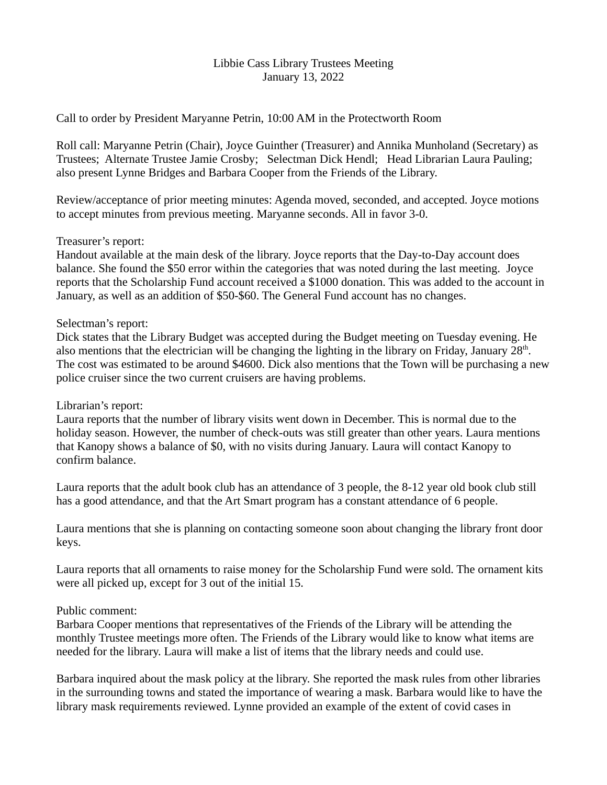## Libbie Cass Library Trustees Meeting January 13, 2022

Call to order by President Maryanne Petrin, 10:00 AM in the Protectworth Room

Roll call: Maryanne Petrin (Chair), Joyce Guinther (Treasurer) and Annika Munholand (Secretary) as Trustees; Alternate Trustee Jamie Crosby; Selectman Dick Hendl; Head Librarian Laura Pauling; also present Lynne Bridges and Barbara Cooper from the Friends of the Library.

Review/acceptance of prior meeting minutes: Agenda moved, seconded, and accepted. Joyce motions to accept minutes from previous meeting. Maryanne seconds. All in favor 3-0.

## Treasurer's report:

Handout available at the main desk of the library. Joyce reports that the Day-to-Day account does balance. She found the \$50 error within the categories that was noted during the last meeting. Joyce reports that the Scholarship Fund account received a \$1000 donation. This was added to the account in January, as well as an addition of \$50-\$60. The General Fund account has no changes.

## Selectman's report:

Dick states that the Library Budget was accepted during the Budget meeting on Tuesday evening. He also mentions that the electrician will be changing the lighting in the library on Friday, January  $28<sup>th</sup>$ . The cost was estimated to be around \$4600. Dick also mentions that the Town will be purchasing a new police cruiser since the two current cruisers are having problems.

# Librarian's report:

Laura reports that the number of library visits went down in December. This is normal due to the holiday season. However, the number of check-outs was still greater than other years. Laura mentions that Kanopy shows a balance of \$0, with no visits during January. Laura will contact Kanopy to confirm balance.

Laura reports that the adult book club has an attendance of 3 people, the 8-12 year old book club still has a good attendance, and that the Art Smart program has a constant attendance of 6 people.

Laura mentions that she is planning on contacting someone soon about changing the library front door keys.

Laura reports that all ornaments to raise money for the Scholarship Fund were sold. The ornament kits were all picked up, except for 3 out of the initial 15.

# Public comment:

Barbara Cooper mentions that representatives of the Friends of the Library will be attending the monthly Trustee meetings more often. The Friends of the Library would like to know what items are needed for the library. Laura will make a list of items that the library needs and could use.

Barbara inquired about the mask policy at the library. She reported the mask rules from other libraries in the surrounding towns and stated the importance of wearing a mask. Barbara would like to have the library mask requirements reviewed. Lynne provided an example of the extent of covid cases in